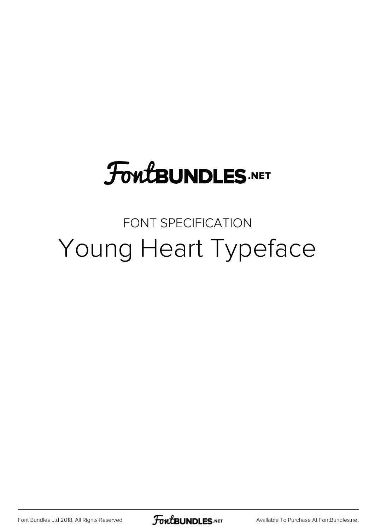## **FoutBUNDLES.NET**

### FONT SPECIFICATION Young Heart Typeface

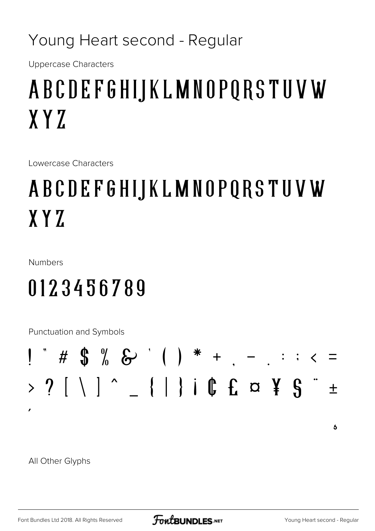#### Young Heart second - Regular

**Uppercase Characters** 

## ABCDEFGHIJKLMNOPQRSTUVW  $XYZ$

Lowercase Characters

### ABCDEFGHIJKLMNOPQRSTUVW  $XYZ$

**Numbers** 

### 0123456789

Punctuation and Symbols

All Other Glyphs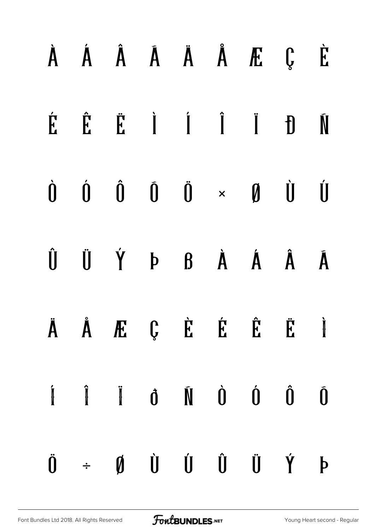|  |  |  | $\dot{A}$ $\dot{A}$ $\dot{A}$ $\ddot{A}$ $\ddot{A}$ $\ddot{E}$ $\ddot{E}$                                                                                                                                                                                                                                                                                                                                                                                                                  |  |
|--|--|--|--------------------------------------------------------------------------------------------------------------------------------------------------------------------------------------------------------------------------------------------------------------------------------------------------------------------------------------------------------------------------------------------------------------------------------------------------------------------------------------------|--|
|  |  |  | ÉËË I I I DI                                                                                                                                                                                                                                                                                                                                                                                                                                                                               |  |
|  |  |  | $\begin{array}{ccccccccccccc} \dot{0} & \dot{0} & \dot{0} & \dot{0} & \dot{0} & \times & \mathbf{0} & \dot{0} & \dot{0} \end{array}$                                                                                                                                                                                                                                                                                                                                                       |  |
|  |  |  | $\begin{matrix} \hat{\mathbf{U}} & \hat{\mathbf{U}} & \hat{\mathbf{Y}} & \mathbf{P} & \mathbf{B} & \hat{\mathbf{A}} & \hat{\mathbf{A}} & \hat{\mathbf{A}} & \hat{\mathbf{A}} \end{matrix}$                                                                                                                                                                                                                                                                                                 |  |
|  |  |  | Ä Å Æ Ç È É Ë Ë Ì                                                                                                                                                                                                                                                                                                                                                                                                                                                                          |  |
|  |  |  | $\begin{array}{ccccccccccccc} \hat{\textbf{I}} & \hat{\textbf{I}} & \hat{\textbf{I}} & \hat{\textbf{0}} & \hat{\textbf{0}} & \hat{\textbf{0}} & \hat{\textbf{0}} & \hat{\textbf{0}} & \hat{\textbf{0}} & \hat{\textbf{0}} & \hat{\textbf{0}} & \hat{\textbf{0}} & \hat{\textbf{0}} & \hat{\textbf{0}} & \hat{\textbf{0}} & \hat{\textbf{0}} & \hat{\textbf{0}} & \hat{\textbf{0}} & \hat{\textbf{0}} & \hat{\textbf{0}} & \hat{\textbf{0}} & \hat{\textbf{0}} & \hat{\textbf{0}} & \hat{\$ |  |
|  |  |  | $\begin{array}{ccccccccccccc} \ddot{\mathbf{0}} & \div & \mathbf{0} & \dot{\mathbf{0}} & \dot{\mathbf{0}} & \dot{\mathbf{0}} & \dot{\mathbf{0}} & \dot{\mathbf{0}} & \dot{\mathbf{0}} & \dot{\mathbf{0}} & \dot{\mathbf{0}} & \dot{\mathbf{0}} & \dot{\mathbf{0}} & \dot{\mathbf{0}} & \dot{\mathbf{0}} & \dot{\mathbf{0}} & \dot{\mathbf{0}} & \dot{\mathbf{0}} & \dot{\mathbf{0}} & \dot{\mathbf{0}} & \dot{\mathbf{0}} & \dot{\mathbf{0}} & \dot{\mathbf{0}} & \dot{\mathbf{0}} & \$    |  |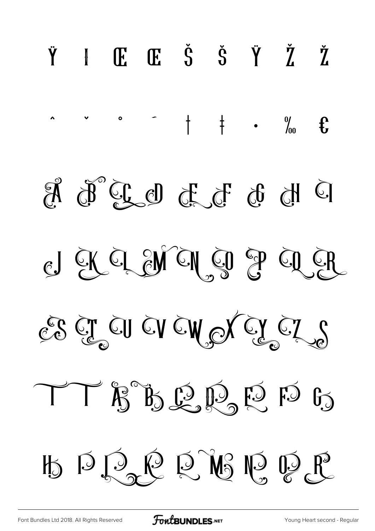

**FoutBUNDLES**.NET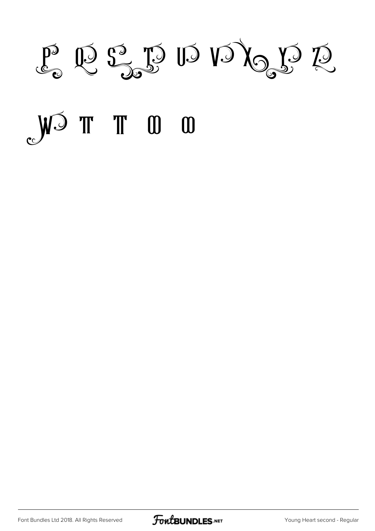P Q S D D D D D D

# O D T T D D

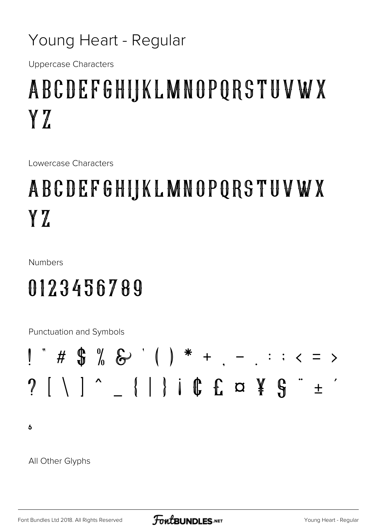#### Young Heart - Regular

**Uppercase Characters** 

### ABCDEFGHIJKLMNOPQRSTUVWX YZ

Lowercase Characters

### ABCDEFGHIJKLMNOPQRSTUVWX YZ.

**Numbers** 

### 0123456789

Punctuation and Symbols



 $\overline{b}$ 

All Other Glyphs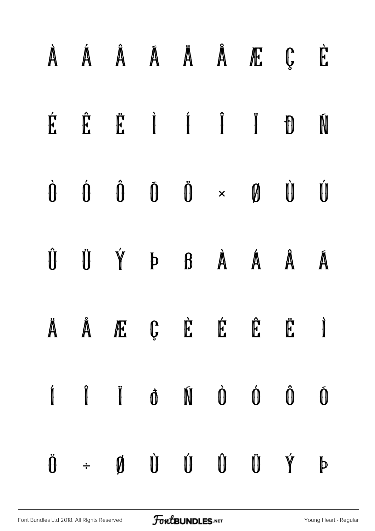|  |  |  | À Á Â Á Ä Ä Å Æ Ç È                                                                                                                                                                                                                                                                                                                                                                                                                                                                          |  |
|--|--|--|----------------------------------------------------------------------------------------------------------------------------------------------------------------------------------------------------------------------------------------------------------------------------------------------------------------------------------------------------------------------------------------------------------------------------------------------------------------------------------------------|--|
|  |  |  | ÉÊË I I I DI                                                                                                                                                                                                                                                                                                                                                                                                                                                                                 |  |
|  |  |  | $\begin{array}{ccccccccccccccccc} \hat{\mathbf{U}} & \hat{\mathbf{U}} & \hat{\mathbf{U}} & \hat{\mathbf{U}} & \hat{\mathbf{U}} & \hat{\mathbf{U}} & \hat{\mathbf{U}} & \hat{\mathbf{U}} & \hat{\mathbf{U}} & \hat{\mathbf{U}} & \hat{\mathbf{U}} & \hat{\mathbf{U}} & \hat{\mathbf{U}} & \hat{\mathbf{U}} & \hat{\mathbf{U}} & \hat{\mathbf{U}} & \hat{\mathbf{U}} & \hat{\mathbf{U}} & \hat{\mathbf{U}} & \hat{\mathbf{U}} & \hat{\mathbf{U}} & \hat{\mathbf{U}} & \hat{\mathbf{U}} & \hat$ |  |
|  |  |  | ÛÜÝÞßÀÁÂĀ                                                                                                                                                                                                                                                                                                                                                                                                                                                                                    |  |
|  |  |  | Ä Å Æ Ç È É Ë Ë Ì                                                                                                                                                                                                                                                                                                                                                                                                                                                                            |  |
|  |  |  | $\begin{array}{ccccccccccccccccc} \mathbf{i} & & \mathbf{j} & & \mathbf{k} & & \mathbf{0} & & \mathbf{0} & & \mathbf{0} & & \mathbf{0} & & \mathbf{0} & & \mathbf{0} & & \mathbf{0} & & \mathbf{0} & & \mathbf{0} & & \mathbf{0} & & \mathbf{0} & & \mathbf{0} & & \mathbf{0} & & \mathbf{0} & & \mathbf{0} & & \mathbf{0} & & \mathbf{0} & & \mathbf{0} & & \mathbf{0} & & \mathbf{0} & & \mathbf{0} & & \mathbf{0} & & \mathbf{0} & & \mathbf{$                                            |  |
|  |  |  | $\ddot{\theta} + \phi \dot{\theta} \dot{\theta} \dot{\theta} \dot{\theta} \dot{\theta} \dot{\gamma} = 0$                                                                                                                                                                                                                                                                                                                                                                                     |  |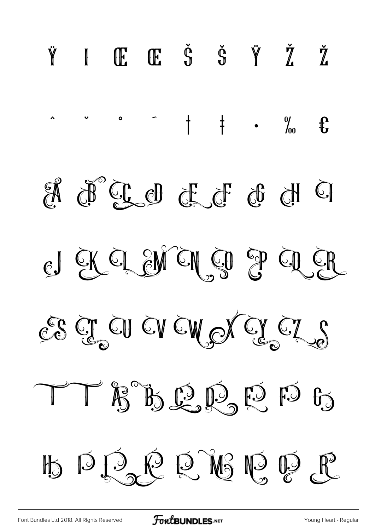

FoutBUNDLES.NET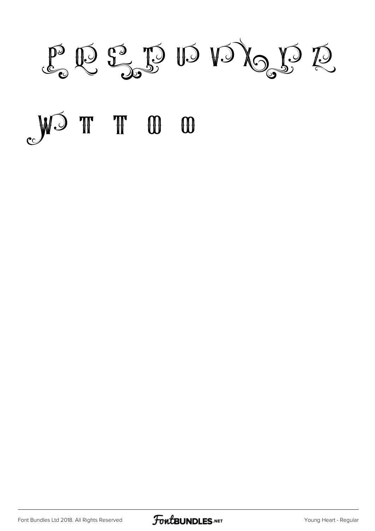P Q S D D D D D D

# O O T T CW

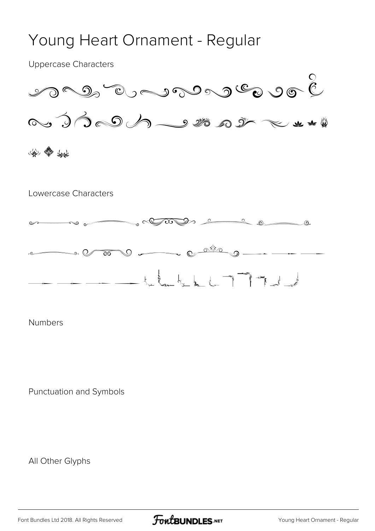#### Young Heart Ornament - Regular

Uppercase Characters





Numbers

Punctuation and Symbols

All Other Glyphs